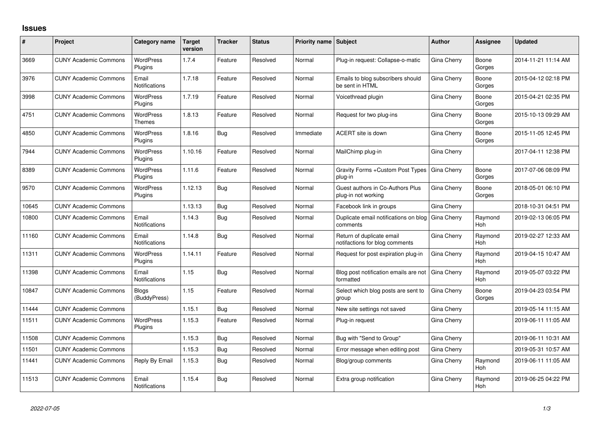## **Issues**

| #     | Project                      | Category name                 | <b>Target</b><br>version | <b>Tracker</b> | <b>Status</b> | <b>Priority name Subject</b> |                                                             | <b>Author</b> | Assignee              | <b>Updated</b>      |
|-------|------------------------------|-------------------------------|--------------------------|----------------|---------------|------------------------------|-------------------------------------------------------------|---------------|-----------------------|---------------------|
| 3669  | <b>CUNY Academic Commons</b> | <b>WordPress</b><br>Plugins   | 1.7.4                    | Feature        | Resolved      | Normal                       | Plug-in request: Collapse-o-matic                           | Gina Cherry   | Boone<br>Gorges       | 2014-11-21 11:14 AM |
| 3976  | <b>CUNY Academic Commons</b> | Email<br><b>Notifications</b> | 1.7.18                   | Feature        | Resolved      | Normal                       | Emails to blog subscribers should<br>be sent in HTML        | Gina Cherry   | Boone<br>Gorges       | 2015-04-12 02:18 PM |
| 3998  | <b>CUNY Academic Commons</b> | <b>WordPress</b><br>Plugins   | 1.7.19                   | Feature        | Resolved      | Normal                       | Voicethread plugin                                          | Gina Cherry   | Boone<br>Gorges       | 2015-04-21 02:35 PM |
| 4751  | <b>CUNY Academic Commons</b> | <b>WordPress</b><br>Themes    | 1.8.13                   | Feature        | Resolved      | Normal                       | Request for two plug-ins                                    | Gina Cherry   | Boone<br>Gorges       | 2015-10-13 09:29 AM |
| 4850  | <b>CUNY Academic Commons</b> | <b>WordPress</b><br>Plugins   | 1.8.16                   | Bug            | Resolved      | Immediate                    | ACERT site is down                                          | Gina Cherry   | Boone<br>Gorges       | 2015-11-05 12:45 PM |
| 7944  | <b>CUNY Academic Commons</b> | <b>WordPress</b><br>Plugins   | 1.10.16                  | Feature        | Resolved      | Normal                       | MailChimp plug-in                                           | Gina Cherry   |                       | 2017-04-11 12:38 PM |
| 8389  | <b>CUNY Academic Commons</b> | <b>WordPress</b><br>Plugins   | 1.11.6                   | Feature        | Resolved      | Normal                       | Gravity Forms + Custom Post Types<br>plug-in                | Gina Cherry   | Boone<br>Gorges       | 2017-07-06 08:09 PM |
| 9570  | <b>CUNY Academic Commons</b> | <b>WordPress</b><br>Plugins   | 1.12.13                  | Bug            | Resolved      | Normal                       | Guest authors in Co-Authors Plus<br>plug-in not working     | Gina Cherry   | Boone<br>Gorges       | 2018-05-01 06:10 PM |
| 10645 | <b>CUNY Academic Commons</b> |                               | 1.13.13                  | Bug            | Resolved      | Normal                       | Facebook link in groups                                     | Gina Cherry   |                       | 2018-10-31 04:51 PM |
| 10800 | <b>CUNY Academic Commons</b> | Email<br><b>Notifications</b> | 1.14.3                   | Bug            | Resolved      | Normal                       | Duplicate email notifications on blog<br>comments           | Gina Cherry   | Raymond<br>Hoh        | 2019-02-13 06:05 PM |
| 11160 | <b>CUNY Academic Commons</b> | Email<br><b>Notifications</b> | 1.14.8                   | Bug            | Resolved      | Normal                       | Return of duplicate email<br>notifactions for blog comments | Gina Cherry   | Raymond<br>Hoh        | 2019-02-27 12:33 AM |
| 11311 | <b>CUNY Academic Commons</b> | <b>WordPress</b><br>Plugins   | 1.14.11                  | Feature        | Resolved      | Normal                       | Request for post expiration plug-in                         | Gina Cherry   | Raymond<br>Hoh        | 2019-04-15 10:47 AM |
| 11398 | <b>CUNY Academic Commons</b> | Email<br><b>Notifications</b> | 1.15                     | Bug            | Resolved      | Normal                       | Blog post notification emails are not<br>formatted          | Gina Cherry   | Raymond<br><b>Hoh</b> | 2019-05-07 03:22 PM |
| 10847 | <b>CUNY Academic Commons</b> | <b>Blogs</b><br>(BuddyPress)  | 1.15                     | Feature        | Resolved      | Normal                       | Select which blog posts are sent to<br>group                | Gina Cherry   | Boone<br>Gorges       | 2019-04-23 03:54 PM |
| 11444 | <b>CUNY Academic Commons</b> |                               | 1.15.1                   | Bug            | Resolved      | Normal                       | New site settings not saved                                 | Gina Cherry   |                       | 2019-05-14 11:15 AM |
| 11511 | <b>CUNY Academic Commons</b> | <b>WordPress</b><br>Plugins   | 1.15.3                   | Feature        | Resolved      | Normal                       | Plug-in request                                             | Gina Cherry   |                       | 2019-06-11 11:05 AM |
| 11508 | <b>CUNY Academic Commons</b> |                               | 1.15.3                   | Bug            | Resolved      | Normal                       | Bug with "Send to Group"                                    | Gina Cherry   |                       | 2019-06-11 10:31 AM |
| 11501 | <b>CUNY Academic Commons</b> |                               | 1.15.3                   | Bug            | Resolved      | Normal                       | Error message when editing post                             | Gina Cherry   |                       | 2019-05-31 10:57 AM |
| 11441 | <b>CUNY Academic Commons</b> | Reply By Email                | 1.15.3                   | Bug            | Resolved      | Normal                       | Blog/group comments                                         | Gina Cherry   | Raymond<br>Hoh        | 2019-06-11 11:05 AM |
| 11513 | <b>CUNY Academic Commons</b> | Email<br><b>Notifications</b> | 1.15.4                   | Bug            | Resolved      | Normal                       | Extra group notification                                    | Gina Cherry   | Raymond<br>Hoh        | 2019-06-25 04:22 PM |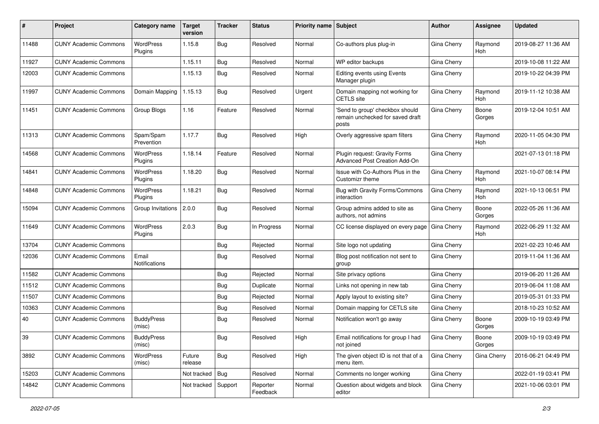| #     | Project                      | <b>Category name</b>        | <b>Target</b><br>version | <b>Tracker</b> | <b>Status</b>        | <b>Priority name Subject</b> |                                                                              | Author             | Assignee        | <b>Updated</b>      |
|-------|------------------------------|-----------------------------|--------------------------|----------------|----------------------|------------------------------|------------------------------------------------------------------------------|--------------------|-----------------|---------------------|
| 11488 | <b>CUNY Academic Commons</b> | WordPress<br>Plugins        | 1.15.8                   | Bug            | Resolved             | Normal                       | Co-authors plus plug-in                                                      | Gina Cherry        | Raymond<br>Hoh  | 2019-08-27 11:36 AM |
| 11927 | <b>CUNY Academic Commons</b> |                             | 1.15.11                  | Bug            | Resolved             | Normal                       | WP editor backups                                                            | Gina Cherry        |                 | 2019-10-08 11:22 AM |
| 12003 | <b>CUNY Academic Commons</b> |                             | 1.15.13                  | Bug            | Resolved             | Normal                       | Editing events using Events<br>Manager plugin                                | Gina Cherry        |                 | 2019-10-22 04:39 PM |
| 11997 | <b>CUNY Academic Commons</b> | Domain Mapping              | 1.15.13                  | Bug            | Resolved             | Urgent                       | Domain mapping not working for<br><b>CETLS</b> site                          | Gina Cherry        | Raymond<br>Hoh  | 2019-11-12 10:38 AM |
| 11451 | <b>CUNY Academic Commons</b> | Group Blogs                 | 1.16                     | Feature        | Resolved             | Normal                       | 'Send to group' checkbox should<br>remain unchecked for saved draft<br>posts | Gina Cherry        | Boone<br>Gorges | 2019-12-04 10:51 AM |
| 11313 | <b>CUNY Academic Commons</b> | Spam/Spam<br>Prevention     | 1.17.7                   | Bug            | Resolved             | High                         | Overly aggressive spam filters                                               | Gina Cherry        | Raymond<br>Hoh  | 2020-11-05 04:30 PM |
| 14568 | <b>CUNY Academic Commons</b> | <b>WordPress</b><br>Plugins | 1.18.14                  | Feature        | Resolved             | Normal                       | Plugin request: Gravity Forms<br>Advanced Post Creation Add-On               | Gina Cherry        |                 | 2021-07-13 01:18 PM |
| 14841 | <b>CUNY Academic Commons</b> | <b>WordPress</b><br>Plugins | 1.18.20                  | Bug            | Resolved             | Normal                       | Issue with Co-Authors Plus in the<br>Customizr theme                         | Gina Cherry        | Raymond<br>Hoh  | 2021-10-07 08:14 PM |
| 14848 | <b>CUNY Academic Commons</b> | <b>WordPress</b><br>Plugins | 1.18.21                  | Bug            | Resolved             | Normal                       | Bug with Gravity Forms/Commons<br>interaction                                | Gina Cherry        | Raymond<br>Hoh  | 2021-10-13 06:51 PM |
| 15094 | <b>CUNY Academic Commons</b> | Group Invitations           | 2.0.0                    | Bug            | Resolved             | Normal                       | Group admins added to site as<br>authors, not admins                         | Gina Cherry        | Boone<br>Gorges | 2022-05-26 11:36 AM |
| 11649 | <b>CUNY Academic Commons</b> | WordPress<br>Plugins        | 2.0.3                    | Bug            | In Progress          | Normal                       | CC license displayed on every page                                           | Gina Cherry        | Raymond<br>Hoh  | 2022-06-29 11:32 AM |
| 13704 | <b>CUNY Academic Commons</b> |                             |                          | Bug            | Rejected             | Normal                       | Site logo not updating                                                       | Gina Cherry        |                 | 2021-02-23 10:46 AM |
| 12036 | <b>CUNY Academic Commons</b> | Email<br>Notifications      |                          | Bug            | Resolved             | Normal                       | Blog post notification not sent to<br>group                                  | Gina Cherry        |                 | 2019-11-04 11:36 AM |
| 11582 | <b>CUNY Academic Commons</b> |                             |                          | Bug            | Rejected             | Normal                       | Site privacy options                                                         | Gina Cherry        |                 | 2019-06-20 11:26 AM |
| 11512 | <b>CUNY Academic Commons</b> |                             |                          | <b>Bug</b>     | Duplicate            | Normal                       | Links not opening in new tab                                                 | Gina Cherry        |                 | 2019-06-04 11:08 AM |
| 11507 | <b>CUNY Academic Commons</b> |                             |                          | Bug            | Rejected             | Normal                       | Apply layout to existing site?                                               | Gina Cherry        |                 | 2019-05-31 01:33 PM |
| 10363 | <b>CUNY Academic Commons</b> |                             |                          | Bug            | Resolved             | Normal                       | Domain mapping for CETLS site                                                | Gina Cherry        |                 | 2018-10-23 10:52 AM |
| 40    | <b>CUNY Academic Commons</b> | <b>BuddyPress</b><br>(misc) |                          | Bug            | Resolved             | Normal                       | Notification won't go away                                                   | Gina Cherry        | Boone<br>Gorges | 2009-10-19 03:49 PM |
| 39    | <b>CUNY Academic Commons</b> | <b>BuddyPress</b><br>(misc) |                          | <b>Bug</b>     | Resolved             | High                         | Email notifications for group I had<br>not joined                            | Gina Cherry        | Boone<br>Gorges | 2009-10-19 03:49 PM |
| 3892  | <b>CUNY Academic Commons</b> | WordPress<br>(misc)         | Future<br>release        | <b>Bug</b>     | Resolved             | High                         | The given object ID is not that of a<br>menu item.                           | <b>Gina Cherry</b> | Gina Cherry     | 2016-06-21 04:49 PM |
| 15203 | <b>CUNY Academic Commons</b> |                             | Not tracked              | Bug            | Resolved             | Normal                       | Comments no longer working                                                   | Gina Cherry        |                 | 2022-01-19 03:41 PM |
| 14842 | <b>CUNY Academic Commons</b> |                             | Not tracked              | Support        | Reporter<br>Feedback | Normal                       | Question about widgets and block<br>editor                                   | Gina Cherry        |                 | 2021-10-06 03:01 PM |